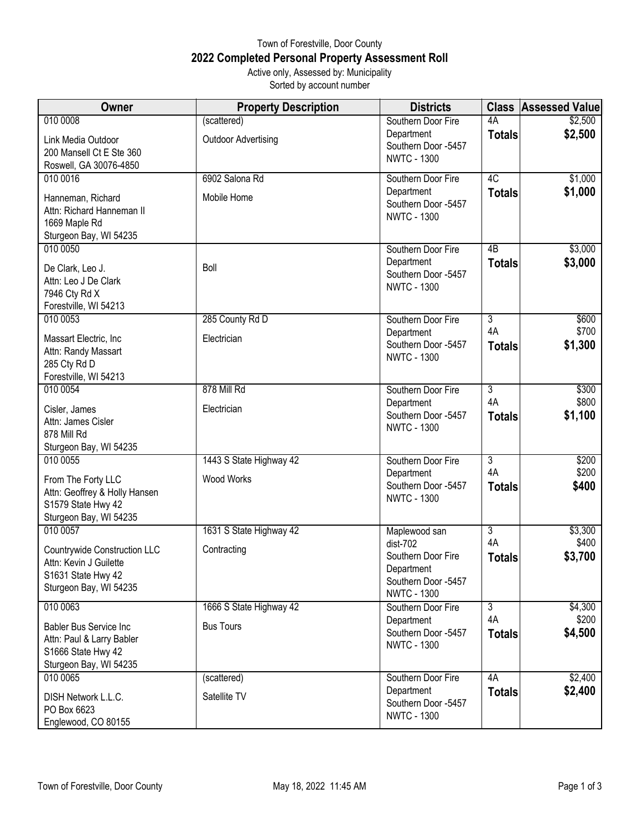## Town of Forestville, Door County **2022 Completed Personal Property Assessment Roll** Active only, Assessed by: Municipality

Sorted by account number

| Owner                                           | <b>Property Description</b> | <b>Districts</b>                          |                      | <b>Class Assessed Value</b> |
|-------------------------------------------------|-----------------------------|-------------------------------------------|----------------------|-----------------------------|
| 010 0008                                        | (scattered)                 | Southern Door Fire                        | 4A                   | \$2,500                     |
| Link Media Outdoor                              | <b>Outdoor Advertising</b>  | Department<br>Southern Door -5457         | <b>Totals</b>        | \$2,500                     |
| 200 Mansell Ct E Ste 360                        |                             | <b>NWTC - 1300</b>                        |                      |                             |
| Roswell, GA 30076-4850                          |                             |                                           |                      |                             |
| 010 0016                                        | 6902 Salona Rd              | Southern Door Fire                        | $\overline{4C}$      | \$1,000                     |
| Hanneman, Richard                               | Mobile Home                 | Department<br>Southern Door -5457         | <b>Totals</b>        | \$1,000                     |
| Attn: Richard Hanneman II                       |                             | <b>NWTC - 1300</b>                        |                      |                             |
| 1669 Maple Rd<br>Sturgeon Bay, WI 54235         |                             |                                           |                      |                             |
| 010 0050                                        |                             | Southern Door Fire                        | 4B                   | \$3,000                     |
|                                                 | Boll                        | Department                                | <b>Totals</b>        | \$3,000                     |
| De Clark, Leo J.<br>Attn: Leo J De Clark        |                             | Southern Door -5457                       |                      |                             |
| 7946 Cty Rd X                                   |                             | <b>NWTC - 1300</b>                        |                      |                             |
| Forestville, WI 54213                           |                             |                                           |                      |                             |
| 010 0053                                        | 285 County Rd D             | Southern Door Fire                        | $\overline{3}$       | \$600                       |
| Massart Electric, Inc                           | Electrician                 | Department                                | 4A                   | \$700                       |
| Attn: Randy Massart                             |                             | Southern Door -5457<br><b>NWTC - 1300</b> | <b>Totals</b>        | \$1,300                     |
| 285 Cty Rd D                                    |                             |                                           |                      |                             |
| Forestville, WI 54213<br>010 0054               | 878 Mill Rd                 | Southern Door Fire                        | $\overline{3}$       | \$300                       |
|                                                 |                             | Department                                | 4A                   | \$800                       |
| Cisler, James                                   | Electrician                 | Southern Door -5457                       | <b>Totals</b>        | \$1,100                     |
| Attn: James Cisler<br>878 Mill Rd               |                             | <b>NWTC - 1300</b>                        |                      |                             |
| Sturgeon Bay, WI 54235                          |                             |                                           |                      |                             |
| 010 0055                                        | 1443 S State Highway 42     | Southern Door Fire                        | $\overline{3}$       | \$200                       |
| From The Forty LLC                              | <b>Wood Works</b>           | Department                                | 4A                   | \$200                       |
| Attn: Geoffrey & Holly Hansen                   |                             | Southern Door -5457                       | <b>Totals</b>        | \$400                       |
| S1579 State Hwy 42                              |                             | <b>NWTC - 1300</b>                        |                      |                             |
| Sturgeon Bay, WI 54235                          |                             |                                           |                      |                             |
| 010 0057                                        | 1631 S State Highway 42     | Maplewood san<br>$dist-702$               | $\overline{3}$<br>4A | \$3,300<br>\$400            |
| Countrywide Construction LLC                    | Contracting                 | Southern Door Fire                        | <b>Totals</b>        | \$3,700                     |
| Attn: Kevin J Guilette                          |                             | Department                                |                      |                             |
| S1631 State Hwy 42<br>Sturgeon Bay, WI 54235    |                             | Southern Door -5457                       |                      |                             |
|                                                 | 1666 S State Highway 42     | <b>NWTC - 1300</b>                        | $\overline{3}$       |                             |
| 010 0063                                        |                             | Southern Door Fire<br>Department          | 4A                   | \$4,300<br>\$200            |
| <b>Babler Bus Service Inc</b>                   | <b>Bus Tours</b>            | Southern Door -5457                       | <b>Totals</b>        | \$4,500                     |
| Attn: Paul & Larry Babler<br>S1666 State Hwy 42 |                             | <b>NWTC - 1300</b>                        |                      |                             |
| Sturgeon Bay, WI 54235                          |                             |                                           |                      |                             |
| 010 0065                                        | (scattered)                 | Southern Door Fire                        | 4A                   | \$2,400                     |
| DISH Network L.L.C.                             | Satellite TV                | Department                                | <b>Totals</b>        | \$2,400                     |
| PO Box 6623                                     |                             | Southern Door -5457                       |                      |                             |
| Englewood, CO 80155                             |                             | <b>NWTC - 1300</b>                        |                      |                             |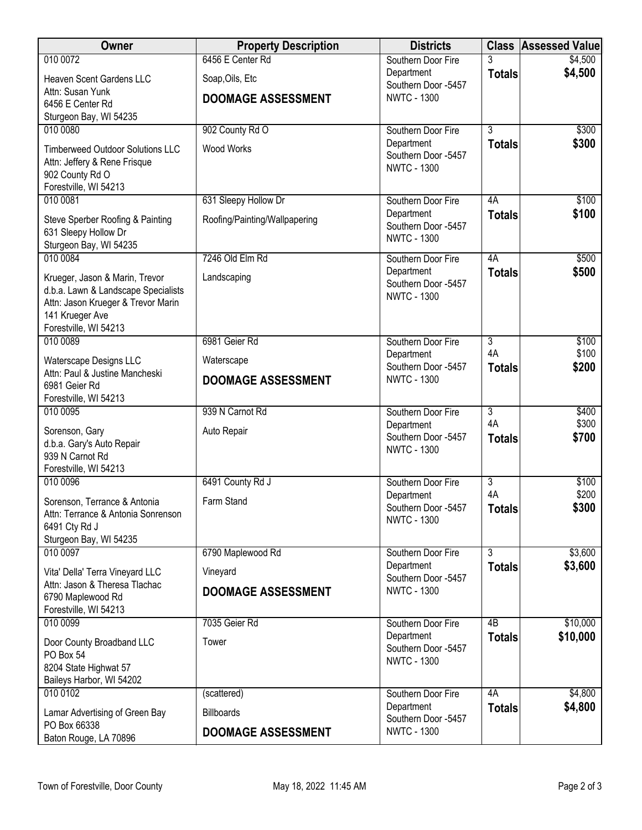| Owner                                                    | <b>Property Description</b>   | <b>Districts</b>                          | <b>Class</b>              | <b>Assessed Value</b> |
|----------------------------------------------------------|-------------------------------|-------------------------------------------|---------------------------|-----------------------|
| 010 0072                                                 | 6456 E Center Rd              | Southern Door Fire                        |                           | \$4,500               |
| Heaven Scent Gardens LLC                                 | Soap, Oils, Etc               | Department<br>Southern Door -5457         | <b>Totals</b>             | \$4,500               |
| Attn: Susan Yunk                                         | <b>DOOMAGE ASSESSMENT</b>     | <b>NWTC - 1300</b>                        |                           |                       |
| 6456 E Center Rd<br>Sturgeon Bay, WI 54235               |                               |                                           |                           |                       |
| 010 0080                                                 | 902 County Rd O               | Southern Door Fire                        | 3                         | \$300                 |
| <b>Timberweed Outdoor Solutions LLC</b>                  | Wood Works                    | Department                                | <b>Totals</b>             | \$300                 |
| Attn: Jeffery & Rene Frisque                             |                               | Southern Door -5457                       |                           |                       |
| 902 County Rd O                                          |                               | <b>NWTC - 1300</b>                        |                           |                       |
| Forestville, WI 54213                                    |                               |                                           |                           |                       |
| 010 0081                                                 | 631 Sleepy Hollow Dr          | Southern Door Fire<br>Department          | 4A<br><b>Totals</b>       | \$100<br>\$100        |
| Steve Sperber Roofing & Painting                         | Roofing/Painting/Wallpapering | Southern Door -5457                       |                           |                       |
| 631 Sleepy Hollow Dr<br>Sturgeon Bay, WI 54235           |                               | <b>NWTC - 1300</b>                        |                           |                       |
| 010 0084                                                 | 7246 Old Elm Rd               | Southern Door Fire                        | 4A                        | \$500                 |
| Krueger, Jason & Marin, Trevor                           | Landscaping                   | Department                                | <b>Totals</b>             | \$500                 |
| d.b.a. Lawn & Landscape Specialists                      |                               | Southern Door -5457                       |                           |                       |
| Attn: Jason Krueger & Trevor Marin                       |                               | <b>NWTC - 1300</b>                        |                           |                       |
| 141 Krueger Ave                                          |                               |                                           |                           |                       |
| Forestville, WI 54213<br>010 0089                        | 6981 Geier Rd                 | Southern Door Fire                        | $\overline{3}$            | \$100                 |
|                                                          |                               | Department                                | 4A                        | \$100                 |
| Waterscape Designs LLC<br>Attn: Paul & Justine Mancheski | Waterscape                    | Southern Door -5457                       | <b>Totals</b>             | \$200                 |
| 6981 Geier Rd                                            | <b>DOOMAGE ASSESSMENT</b>     | <b>NWTC - 1300</b>                        |                           |                       |
| Forestville, WI 54213                                    |                               |                                           |                           |                       |
| 010 0095                                                 | 939 N Carnot Rd               | Southern Door Fire                        | $\overline{3}$            | \$400                 |
| Sorenson, Gary                                           | Auto Repair                   | Department<br>Southern Door -5457         | 4A                        | \$300<br>\$700        |
| d.b.a. Gary's Auto Repair                                |                               | <b>NWTC - 1300</b>                        | <b>Totals</b>             |                       |
| 939 N Carnot Rd<br>Forestville, WI 54213                 |                               |                                           |                           |                       |
| 010 0096                                                 | 6491 County Rd J              | Southern Door Fire                        | $\overline{3}$            | \$100                 |
| Sorenson, Terrance & Antonia                             | Farm Stand                    | Department                                | 4A                        | \$200                 |
| Attn: Terrance & Antonia Sonrenson                       |                               | Southern Door -5457                       | <b>Totals</b>             | \$300                 |
| 6491 Cty Rd J                                            |                               | <b>NWTC - 1300</b>                        |                           |                       |
| Sturgeon Bay, WI 54235                                   |                               |                                           |                           |                       |
| 010 0097                                                 | 6790 Maplewood Rd             | Southern Door Fire                        | $\overline{\overline{3}}$ | \$3,600               |
| Vita' Della' Terra Vineyard LLC                          | Vineyard                      | Department<br>Southern Door -5457         | <b>Totals</b>             | \$3,600               |
| Attn: Jason & Theresa Tlachac<br>6790 Maplewood Rd       | <b>DOOMAGE ASSESSMENT</b>     | <b>NWTC - 1300</b>                        |                           |                       |
| Forestville, WI 54213                                    |                               |                                           |                           |                       |
| 010 0099                                                 | 7035 Geier Rd                 | Southern Door Fire                        | 4 <sub>B</sub>            | \$10,000              |
| Door County Broadband LLC                                | Tower                         | Department                                | <b>Totals</b>             | \$10,000              |
| PO Box 54                                                |                               | Southern Door -5457<br><b>NWTC - 1300</b> |                           |                       |
| 8204 State Highwat 57                                    |                               |                                           |                           |                       |
| Baileys Harbor, WI 54202                                 |                               |                                           |                           |                       |
| 010 0102                                                 | (scattered)                   | Southern Door Fire<br>Department          | 4A<br><b>Totals</b>       | \$4,800<br>\$4,800    |
| Lamar Advertising of Green Bay<br>PO Box 66338           | <b>Billboards</b>             | Southern Door -5457                       |                           |                       |
| Baton Rouge, LA 70896                                    | <b>DOOMAGE ASSESSMENT</b>     | <b>NWTC - 1300</b>                        |                           |                       |